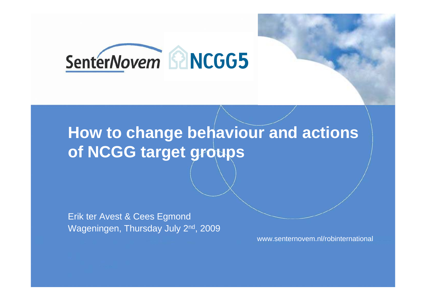

## **How to change behaviour and actions of NCGG target groups**

Erik ter Avest & Cees Egmond Wageningen, Thursday July 2<sup>nd</sup>, 2009

www.senternovem.nl/robinternational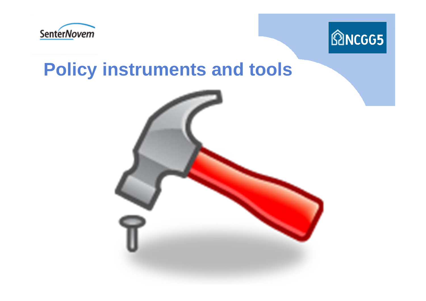



## **Policy instruments and tools**

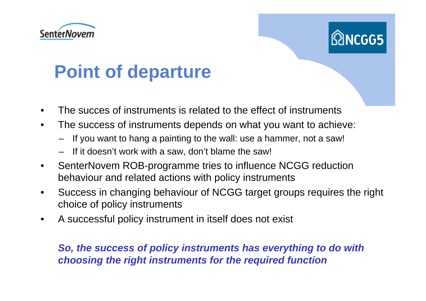



# **Point of departure**

- •The succes of instruments is related to the effect of instruments
- • The success of instruments depends on what you want to achieve:
	- If you want to hang a painting to the wall: use a hammer, not a saw!
	- If it doesn't work with a saw, don't blame the saw!
- • SenterNovem ROB-programme tries to influence NCGG reduction behaviour and related actions with policy instruments
- • Success in changing behaviour of NCGG target groups requires the right choice of policy instruments
- •A successful policy instrument in itself does not exist

*So, the success of policy instruments has everything to do with choosing the right instruments for the required function*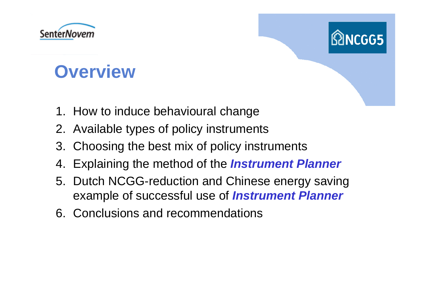



## **Overview**

- 1. How to induce behavioural change
- 2. Available types of policy instruments
- 3. Choosing the best mix of policy instruments
- 4. Explaining the method of the *Instrument Planner*
- 5. Dutch NCGG-reduction and Chinese energy saving example of successful use of *Instrument Planner*
- 6. Conclusions and recommendations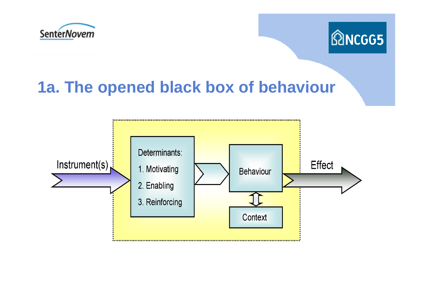



### **1a. The opened black box of behaviour**

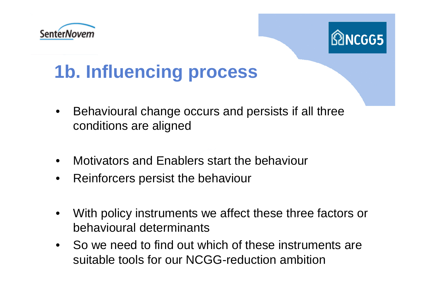



# **1b. Influencing process**

- $\bullet$  Behavioural change occurs and persists if all three conditions are aligned
- •Motivators and Enablers start the behaviour
- •Reinforcers persist the behaviour
- $\bullet$  With policy instruments we affect these three factors or behavioural determinants
- $\bullet$  So we need to find out which of these instruments are suitable tools for our NCGG-reduction ambition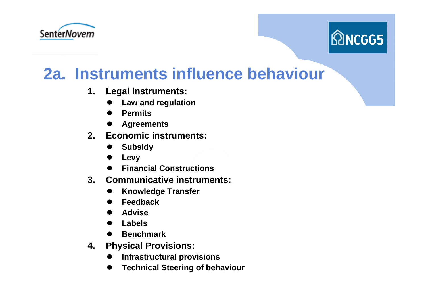



### **2a. Instruments influence behaviour**

- **1. Legal instruments:**
	- $\bullet$ **Law and regulation**
	- $\bullet$ **Permits**
	- $\bullet$ **Agreements**
- **2. Economic instruments:**
	- $\bullet$ **Subsidy**
	- $\bullet$ **Levy**
	- $\bullet$ **Financial Constructions**
- **3. Communicative instruments:**
	- $\bullet$ **Knowledge Transfer**
	- $\bullet$ **Feedback**
	- $\bullet$ **Advise**
	- $\bullet$ **Labels**
	- $\bullet$ **Benchmark**
- **4. Physical Provisions:**
	- $\bullet$ **Infrastructural provisions**
	- $\bullet$ **Technical Steering of behaviour**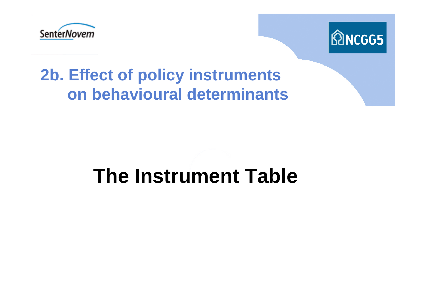



## **2b. Effect of policy instruments on behavioural determinants**

# **The Instrument Table**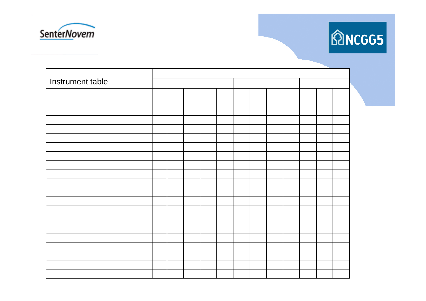



| Instrument table |  |  |  |  |  |  |  |  |  |  |  |  |  |
|------------------|--|--|--|--|--|--|--|--|--|--|--|--|--|
|                  |  |  |  |  |  |  |  |  |  |  |  |  |  |
|                  |  |  |  |  |  |  |  |  |  |  |  |  |  |
|                  |  |  |  |  |  |  |  |  |  |  |  |  |  |
|                  |  |  |  |  |  |  |  |  |  |  |  |  |  |
|                  |  |  |  |  |  |  |  |  |  |  |  |  |  |
|                  |  |  |  |  |  |  |  |  |  |  |  |  |  |
|                  |  |  |  |  |  |  |  |  |  |  |  |  |  |
|                  |  |  |  |  |  |  |  |  |  |  |  |  |  |
|                  |  |  |  |  |  |  |  |  |  |  |  |  |  |
|                  |  |  |  |  |  |  |  |  |  |  |  |  |  |
|                  |  |  |  |  |  |  |  |  |  |  |  |  |  |
|                  |  |  |  |  |  |  |  |  |  |  |  |  |  |
|                  |  |  |  |  |  |  |  |  |  |  |  |  |  |
|                  |  |  |  |  |  |  |  |  |  |  |  |  |  |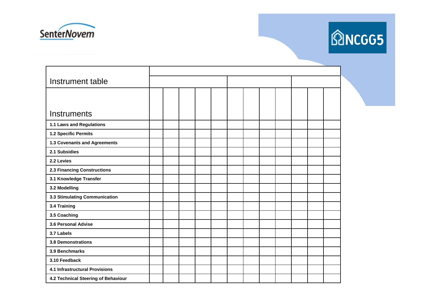



| Instrument table                      |  |  |  |  |  |  |  |  |
|---------------------------------------|--|--|--|--|--|--|--|--|
|                                       |  |  |  |  |  |  |  |  |
|                                       |  |  |  |  |  |  |  |  |
| <b>Instruments</b>                    |  |  |  |  |  |  |  |  |
| 1.1 Laws and Regulations              |  |  |  |  |  |  |  |  |
| 1.2 Specific Permits                  |  |  |  |  |  |  |  |  |
| 1.3 Covenants and Agreements          |  |  |  |  |  |  |  |  |
| 2.1 Subsidies                         |  |  |  |  |  |  |  |  |
| 2.2 Levies                            |  |  |  |  |  |  |  |  |
| <b>2.3 Financing Constructions</b>    |  |  |  |  |  |  |  |  |
| 3.1 Knowledge Transfer                |  |  |  |  |  |  |  |  |
| 3.2 Modelling                         |  |  |  |  |  |  |  |  |
| 3.3 Stimulating Communication         |  |  |  |  |  |  |  |  |
| 3.4 Training                          |  |  |  |  |  |  |  |  |
| 3.5 Coaching                          |  |  |  |  |  |  |  |  |
| 3.6 Personal Advise                   |  |  |  |  |  |  |  |  |
| 3.7 Labels                            |  |  |  |  |  |  |  |  |
| <b>3.8 Demonstrations</b>             |  |  |  |  |  |  |  |  |
| 3.9 Benchmarks                        |  |  |  |  |  |  |  |  |
| 3.10 Feedback                         |  |  |  |  |  |  |  |  |
| <b>4.1 Infrastructural Provisions</b> |  |  |  |  |  |  |  |  |
| 4.2 Technical Steering of Behaviour   |  |  |  |  |  |  |  |  |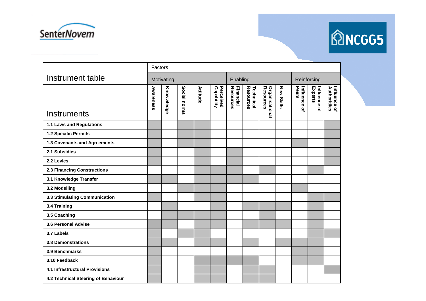



|                                       | Factors    |            |              |          |                         |                        |                                |                                    |                   |                       |                         |                              |
|---------------------------------------|------------|------------|--------------|----------|-------------------------|------------------------|--------------------------------|------------------------------------|-------------------|-----------------------|-------------------------|------------------------------|
| Instrument table                      | Motivating |            |              |          |                         |                        | Enabling                       |                                    | Reinforcing       |                       |                         |                              |
| <b>Instruments</b>                    | Awareness  | Knowwledge | Social norms | Attitude | Capability<br>Perceived | Resources<br>Financial | <b>Techniical</b><br>Resources | <b>Organisational</b><br>Resources | <b>New Skills</b> | Peers<br>Influence of | Influence of<br>Experts | Influence of<br>Authoritiies |
| 1.1 Laws and Regulations              |            |            |              |          |                         |                        |                                |                                    |                   |                       |                         |                              |
| 1.2 Specific Permits                  |            |            |              |          |                         |                        |                                |                                    |                   |                       |                         |                              |
| 1.3 Covenants and Agreements          |            |            |              |          |                         |                        |                                |                                    |                   |                       |                         |                              |
| 2.1 Subsidies                         |            |            |              |          |                         |                        |                                |                                    |                   |                       |                         |                              |
| 2.2 Levies                            |            |            |              |          |                         |                        |                                |                                    |                   |                       |                         |                              |
| <b>2.3 Financing Constructions</b>    |            |            |              |          |                         |                        |                                |                                    |                   |                       |                         |                              |
| 3.1 Knowledge Transfer                |            |            |              |          |                         |                        |                                |                                    |                   |                       |                         |                              |
| 3.2 Modelling                         |            |            |              |          |                         |                        |                                |                                    |                   |                       |                         |                              |
| 3.3 Stimulating Communication         |            |            |              |          |                         |                        |                                |                                    |                   |                       |                         |                              |
| 3.4 Training                          |            |            |              |          |                         |                        |                                |                                    |                   |                       |                         |                              |
| 3.5 Coaching                          |            |            |              |          |                         |                        |                                |                                    |                   |                       |                         |                              |
| 3.6 Personal Advise                   |            |            |              |          |                         |                        |                                |                                    |                   |                       |                         |                              |
| 3.7 Labels                            |            |            |              |          |                         |                        |                                |                                    |                   |                       |                         |                              |
| <b>3.8 Demonstrations</b>             |            |            |              |          |                         |                        |                                |                                    |                   |                       |                         |                              |
| 3.9 Benchmarks                        |            |            |              |          |                         |                        |                                |                                    |                   |                       |                         |                              |
| 3.10 Feedback                         |            |            |              |          |                         |                        |                                |                                    |                   |                       |                         |                              |
| <b>4.1 Infrastructural Provisions</b> |            |            |              |          |                         |                        |                                |                                    |                   |                       |                         |                              |
| 4.2 Technical Steering of Behaviour   |            |            |              |          |                         |                        |                                |                                    |                   |                       |                         |                              |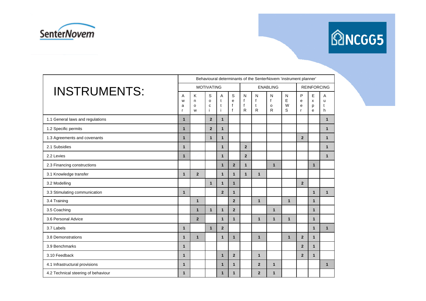



|                                     |              | Behavioural determinants of the SenterNovem 'instrument planner' |                        |                             |                                                  |                                        |                                        |                               |                  |                                       |                  |                             |
|-------------------------------------|--------------|------------------------------------------------------------------|------------------------|-----------------------------|--------------------------------------------------|----------------------------------------|----------------------------------------|-------------------------------|------------------|---------------------------------------|------------------|-----------------------------|
| <b>INSTRUMENTS:</b>                 |              |                                                                  | <b>MOTIVATING</b>      |                             |                                                  |                                        |                                        | <b>REINFORCING</b>            |                  |                                       |                  |                             |
|                                     |              | κ<br>n<br>$\circ$<br>W                                           | S<br>$\circ$<br>c<br>İ | A<br>$\mathbf{t}$<br>t<br>j | $\mathsf S$<br>e<br>$\mathsf{f}$<br>$\mathsf{f}$ | N<br>$\mathsf{f}$<br>$\mathsf{f}$<br>R | N<br>$\mathsf{f}$<br>t<br>$\mathsf{R}$ | N<br>f<br>$\mathsf{o}\,$<br>R | N<br>E<br>W<br>S | P<br>e<br>$\mathbf e$<br>$\mathsf{r}$ | E<br>X<br>p<br>e | A<br>$\mathbf{u}$<br>t<br>h |
| 1.1 General laws and regulations    | $\mathbf{1}$ |                                                                  | $\overline{2}$         | $\mathbf{1}$                |                                                  |                                        |                                        |                               |                  |                                       |                  | $\mathbf{1}$                |
| 1.2 Specific permits                | $\mathbf{1}$ |                                                                  | $\overline{2}$         | $\mathbf{1}$                |                                                  |                                        |                                        |                               |                  |                                       |                  | $\mathbf{1}$                |
| 1.3 Agreements and covenants        | $\mathbf{1}$ |                                                                  | $\mathbf{1}$           | $\mathbf{1}$                |                                                  |                                        |                                        |                               |                  | $\overline{2}$                        |                  | $\mathbf{1}$                |
| 2.1 Subsidies                       | $\mathbf{1}$ |                                                                  |                        | $\mathbf{1}$                |                                                  | $\overline{2}$                         |                                        |                               |                  |                                       |                  | $\mathbf{1}$                |
| 2.2 Levies                          | $\mathbf{1}$ |                                                                  |                        | $\mathbf{1}$                |                                                  | $\overline{2}$                         |                                        |                               |                  |                                       |                  | $\mathbf{1}$                |
| 2.3 Financing constructions         |              |                                                                  |                        | $\mathbf{1}$                | $\overline{2}$                                   | $\mathbf{1}$                           |                                        | $\mathbf{1}$                  |                  |                                       | $\mathbf{1}$     |                             |
| 3.1 Knowledge transfer              | $\mathbf{1}$ | $\overline{2}$                                                   |                        | $\mathbf{1}$                | $\mathbf{1}$                                     | $\mathbf{1}$                           | $\mathbf{1}$                           |                               |                  |                                       |                  |                             |
| 3.2 Modelling                       |              |                                                                  | $\mathbf{1}$           | $\mathbf{1}$                | $\mathbf{1}$                                     |                                        |                                        |                               |                  | $\overline{2}$                        |                  |                             |
| 3.3 Stimulating communication       | $\mathbf{1}$ |                                                                  |                        | $\overline{2}$              | $\mathbf{1}$                                     |                                        |                                        |                               |                  |                                       | $\mathbf{1}$     | $\mathbf{1}$                |
| 3.4 Training                        |              | $\mathbf{1}$                                                     |                        |                             | $\overline{2}$                                   |                                        | $\mathbf{1}$                           |                               | $\mathbf{1}$     |                                       | $\mathbf{1}$     |                             |
| 3.5 Coaching                        |              | $\mathbf{1}$                                                     | $\mathbf{1}$           | $\mathbf{1}$                | $\overline{2}$                                   |                                        |                                        | $\mathbf{1}$                  |                  |                                       | $\mathbf{1}$     |                             |
| 3.6 Personal Advice                 |              | $\overline{2}$                                                   |                        | $\mathbf{1}$                | $\mathbf{1}$                                     |                                        | $\mathbf{1}$                           | $\mathbf{1}$                  | $\mathbf{1}$     |                                       | $\mathbf{1}$     |                             |
| 3.7 Labels                          | $\mathbf{1}$ |                                                                  | $\mathbf{1}$           | $\overline{2}$              |                                                  |                                        |                                        |                               |                  |                                       | $\mathbf{1}$     | $\mathbf{1}$                |
| 3.8 Demonstrations                  | $\mathbf{1}$ | $\mathbf{1}$                                                     |                        | $\mathbf{1}$                | $\mathbf{1}$                                     |                                        | $\mathbf{1}$                           |                               | $\mathbf{1}$     | $\overline{2}$                        | $\mathbf{1}$     |                             |
| 3.9 Benchmarks                      | $\mathbf{1}$ |                                                                  |                        |                             |                                                  |                                        |                                        |                               |                  | $\overline{2}$                        | $\mathbf{1}$     |                             |
| 3.10 Feedback                       | $\mathbf{1}$ |                                                                  |                        | $\mathbf{1}$                | $\overline{2}$                                   |                                        | $\mathbf{1}$                           |                               |                  | $\overline{2}$                        | $\mathbf{1}$     |                             |
| 4.1 Infrastructural provisions      | $\mathbf{1}$ |                                                                  |                        | $\mathbf{1}$                | $\mathbf{1}$                                     |                                        | $\overline{2}$                         | $\mathbf{1}$                  |                  |                                       |                  | $\mathbf{1}$                |
| 4.2 Technical steering of behaviour | $\mathbf{1}$ |                                                                  |                        | $\mathbf{1}$                | 1                                                |                                        | $\overline{2}$                         | $\mathbf{1}$                  |                  |                                       |                  |                             |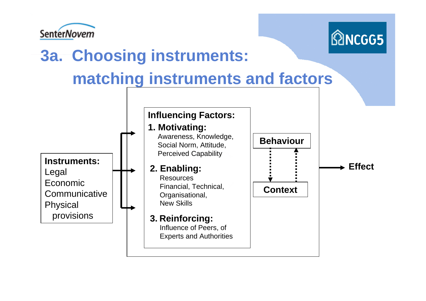



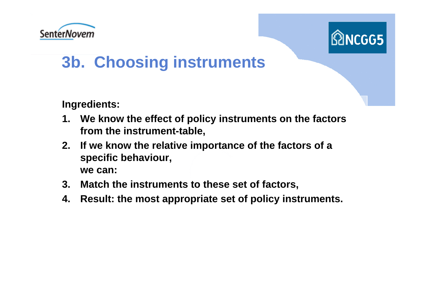



### **3b. Choosing instruments**

**Ingredients:**

- **1. We know the effect of policy instruments on the factors from the instrument-table,**
- **2. If we know the relative importance of the factors of a specific behaviour, we can:**
- **3. Match the instruments to these set of factors,**
- **4. Result: the most appropriate set of policy instruments.**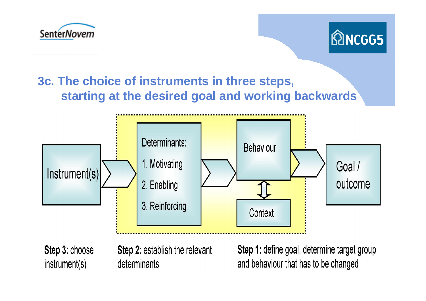



#### **3c. The choice of instruments in three steps, starting at the desired goal and working backwards**



Step 3: choose instrument(s)

Step 2: establish the relevant determinants

Step 1: define goal, determine target group and behaviour that has to be changed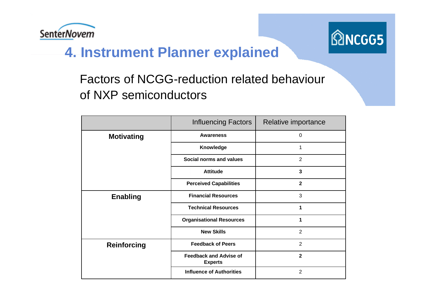



### **4. Instrument Planner explained**

#### Factors of NCGG-reduction related behaviour of NXP semiconductors

|                    | <b>Influencing Factors</b>                      | Relative importance |
|--------------------|-------------------------------------------------|---------------------|
| <b>Motivating</b>  | <b>Awareness</b>                                | $\Omega$            |
|                    | Knowledge                                       | 1                   |
|                    | Social norms and values                         | $\overline{2}$      |
|                    | <b>Attitude</b>                                 | $\overline{3}$      |
|                    | <b>Perceived Capabilities</b>                   | $\mathbf{2}$        |
| <b>Enabling</b>    | <b>Financial Resources</b>                      | 3                   |
|                    | <b>Technical Resources</b>                      | 1                   |
|                    | <b>Organisational Resources</b>                 |                     |
|                    | <b>New Skills</b>                               | 2                   |
| <b>Reinforcing</b> | <b>Feedback of Peers</b>                        | $\overline{2}$      |
|                    | <b>Feedback and Advise of</b><br><b>Experts</b> | $\overline{2}$      |
|                    | <b>Influence of Authorities</b>                 | 2                   |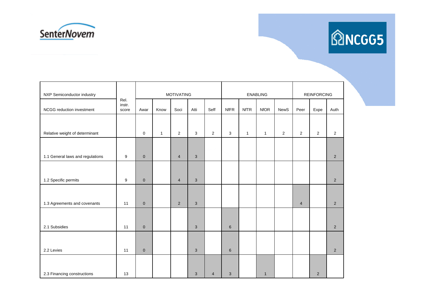



| NXP Semiconductor industry       |                         |              |              | <b>MOTIVATING</b> |            |                         |              |              | <b>ENABLING</b> | <b>REINFORCING</b> |                |                |                |
|----------------------------------|-------------------------|--------------|--------------|-------------------|------------|-------------------------|--------------|--------------|-----------------|--------------------|----------------|----------------|----------------|
| NCGG reduction investment        | Rel.<br>instr.<br>score | Awar         | Know         | Soci              | Atti       | Seff                    | <b>NfFR</b>  | <b>NfTR</b>  | <b>NfOR</b>     | <b>NewS</b>        | Peer           | Expe           | Auth           |
|                                  |                         |              |              |                   |            |                         |              |              |                 |                    |                |                |                |
| Relative weight of determinant   |                         | $\mathbf 0$  | $\mathbf{1}$ | $\overline{2}$    | 3          | $\overline{2}$          | 3            | $\mathbf{1}$ | $\mathbf{1}$    | 2                  | $\overline{2}$ | $\overline{2}$ | $\overline{2}$ |
|                                  |                         |              |              |                   |            |                         |              |              |                 |                    |                |                |                |
| 1.1 General laws and regulations | 9                       | $\mathbf{0}$ |              | $\overline{4}$    | $\sqrt{3}$ |                         |              |              |                 |                    |                |                | $\overline{2}$ |
|                                  |                         |              |              |                   |            |                         |              |              |                 |                    |                |                |                |
| 1.2 Specific permits             | 9                       | $\mathbf{0}$ |              | $\overline{4}$    | 3          |                         |              |              |                 |                    |                |                | $\overline{2}$ |
|                                  |                         |              |              |                   |            |                         |              |              |                 |                    |                |                |                |
| 1.3 Agreements and covenants     | 11                      | $\mathbf{0}$ |              | 2                 | 3          |                         |              |              |                 |                    | $\overline{4}$ |                | $\overline{2}$ |
|                                  |                         |              |              |                   |            |                         |              |              |                 |                    |                |                |                |
| 2.1 Subsidies                    | 11                      | $\mathbf{0}$ |              |                   | 3          |                         | $\,6\,$      |              |                 |                    |                |                | $\overline{2}$ |
|                                  |                         |              |              |                   |            |                         |              |              |                 |                    |                |                |                |
| 2.2 Levies                       | 11                      | $\pmb{0}$    |              |                   | 3          |                         | $\,6\,$      |              |                 |                    |                |                | $\overline{2}$ |
|                                  |                         |              |              |                   |            |                         |              |              |                 |                    |                |                |                |
| 2.3 Financing constructions      | 13                      |              |              |                   | 3          | $\overline{\mathbf{4}}$ | $\mathbf{3}$ |              | $\mathbf{1}$    |                    |                | 2              |                |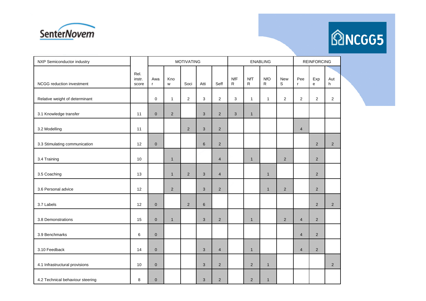



| NXP Semiconductor industry       |                         |                     |                | <b>MOTIVATING</b> |                |                |                            |                            | <b>ENABLING</b>            | <b>REINFORCING</b> |                |                       |                |
|----------------------------------|-------------------------|---------------------|----------------|-------------------|----------------|----------------|----------------------------|----------------------------|----------------------------|--------------------|----------------|-----------------------|----------------|
| NCGG reduction investment        | Rel.<br>instr.<br>score | Awa<br>$\mathsf{r}$ | Kno<br>W       | Soci              | Atti           | Seff           | <b>NfF</b><br>$\mathsf{R}$ | <b>NfT</b><br>$\mathsf{R}$ | <b>NfO</b><br>$\mathsf{R}$ | New<br>$\mathsf S$ | Pee<br>r       | Exp<br>$\mathsf{e}\,$ | Aut<br>h       |
| Relative weight of determinant   |                         | 0                   | $\mathbf{1}$   | 2                 | 3              | $\overline{2}$ | $\mathbf{3}$               | $\mathbf{1}$               | $\mathbf{1}$               | $\overline{2}$     | $\overline{2}$ | $\overline{2}$        | 2              |
| 3.1 Knowledge transfer           | 11                      | $\mathbf{0}$        | $\overline{c}$ |                   | 3              | $\overline{2}$ | $\mathbf{3}$               | $\mathbf{1}$               |                            |                    |                |                       |                |
| 3.2 Modelling                    | 11                      |                     |                | 2                 | 3              | $\overline{2}$ |                            |                            |                            |                    | $\overline{4}$ |                       |                |
| 3.3 Stimulating communication    | 12                      | $\overline{0}$      |                |                   | $6\phantom{1}$ | $\overline{2}$ |                            |                            |                            |                    |                | $\overline{2}$        | 2              |
| 3.4 Training                     | 10                      |                     | $\mathbf{1}$   |                   |                | $\overline{4}$ |                            | $\mathbf{1}$               |                            | $\sqrt{2}$         |                | $\overline{2}$        |                |
| 3.5 Coaching                     | 13                      |                     | $\mathbf{1}$   | 2                 | 3              | $\overline{4}$ |                            |                            | $\mathbf{1}$               |                    |                | $\overline{2}$        |                |
| 3.6 Personal advice              | 12                      |                     | $\overline{2}$ |                   | 3              | $\overline{2}$ |                            |                            | $\mathbf{1}$               | $\overline{2}$     |                | $\overline{2}$        |                |
| 3.7 Labels                       | 12                      | $\mathbf 0$         |                | $\overline{2}$    | $\,6\,$        |                |                            |                            |                            |                    |                | $\overline{2}$        | $\overline{2}$ |
| 3.8 Demonstrations               | 15                      | $\mathbf 0$         | $\mathbf{1}$   |                   | 3              | $\overline{2}$ |                            | $\mathbf{1}$               |                            | 2                  | $\overline{4}$ | $\overline{2}$        |                |
| 3.9 Benchmarks                   | 6                       | $\mathbf{0}$        |                |                   |                |                |                            |                            |                            |                    | $\overline{4}$ | $\overline{2}$        |                |
| 3.10 Feedback                    | 14                      | $\mathbf 0$         |                |                   | 3              | $\overline{4}$ |                            | $\mathbf{1}$               |                            |                    | $\overline{4}$ | $\overline{2}$        |                |
| 4.1 Infrastructural provisions   | 10                      | $\mathbf 0$         |                |                   | 3              | $\overline{2}$ |                            | 2                          | $\mathbf{1}$               |                    |                |                       | 2              |
| 4.2 Technical behaviour steering | 8                       | $\mathbf{0}$        |                |                   | 3              | $\overline{2}$ |                            | $\overline{2}$             | $\mathbf{1}$               |                    |                |                       |                |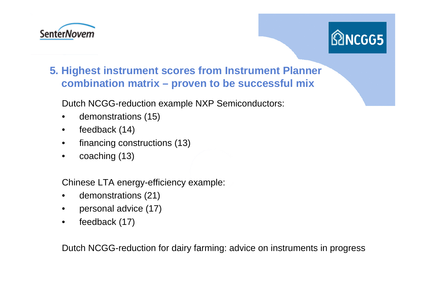



#### **5. Highest instrument scores from Instrument Planner combination matrix – proven to be successful mix**

Dutch NCGG-reduction example NXP Semiconductors:

- •demonstrations (15)
- $\bullet$ feedback (14)
- •financing constructions (13)
- •coaching (13)

Chinese LTA energy-efficiency example:

- •demonstrations (21)
- •personal advice (17)
- •feedback (17)

Dutch NCGG-reduction for dairy farming: advice on instruments in progress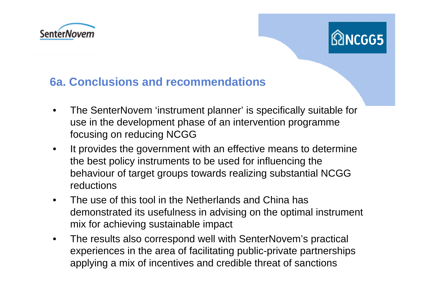



#### **6a. Conclusions and recommendations**

- • The SenterNovem 'instrument planner' is specifically suitable for use in the development phase of an intervention programme focusing on reducing NCGG
- $\bullet$  It provides the government with an effective means to determine the best policy instruments to be used for influencing the behaviour of target groups towards realizing substantial NCGG reductions
- $\bullet$  The use of this tool in the Netherlands and China has demonstrated its usefulness in advising on the optimal instrument mix for achieving sustainable impact
- • The results also correspond well with SenterNovem's practical experiences in the area of facilitating public-private partnerships applying a mix of incentives and credible threat of sanctions